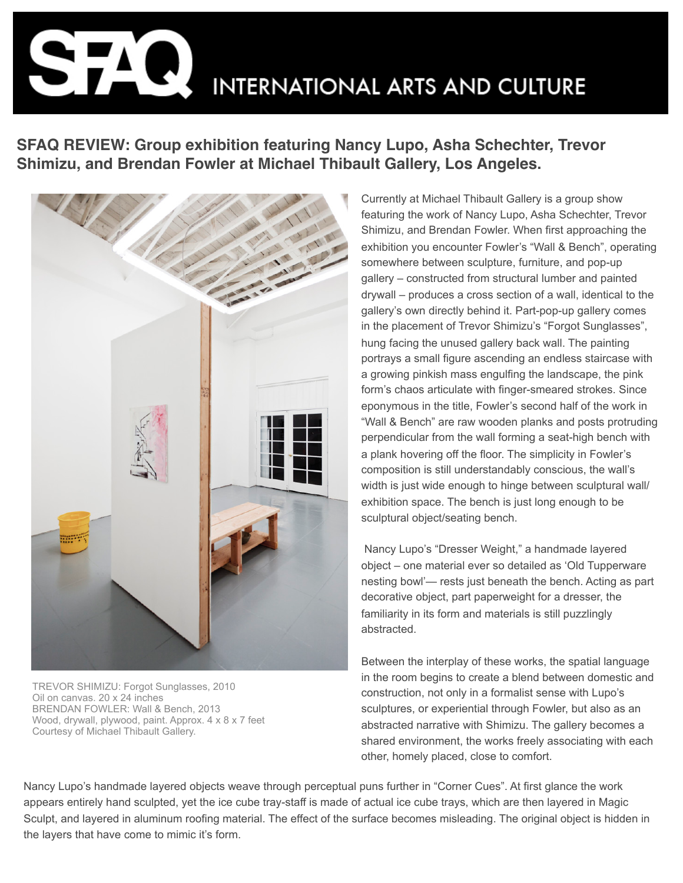**INTERNATIONAL ARTS AND CULTURE** 

**SFAQ REVIEW: Group exhibition featuring Nancy Lupo, Asha Schechter, Trevor Shimizu, and Brendan Fowler at Michael Thibault Gallery, Los Angeles.**



TREVOR SHIMIZU: Forgot Sunglasses, 2010 Oil on canvas. 20 x 24 inches BRENDAN FOWLER: Wall & Bench, 2013 Wood, drywall, plywood, paint. Approx. 4 x 8 x 7 feet Courtesy of Michael Thibault Gallery.

Currently at Michael Thibault Gallery is a group show featuring the work of Nancy Lupo, Asha Schechter, Trevor Shimizu, and Brendan Fowler. When first approaching the exhibition you encounter Fowler's "Wall & Bench", operating somewhere between sculpture, furniture, and pop-up gallery – constructed from structural lumber and painted drywall – produces a cross section of a wall, identical to the gallery's own directly behind it. Part-pop-up gallery comes in the placement of Trevor Shimizu's "Forgot Sunglasses", hung facing the unused gallery back wall. The painting portrays a small figure ascending an endless staircase with a growing pinkish mass engulfing the landscape, the pink form's chaos articulate with finger-smeared strokes. Since eponymous in the title, Fowler's second half of the work in "Wall & Bench" are raw wooden planks and posts protruding perpendicular from the wall forming a seat-high bench with a plank hovering off the floor. The simplicity in Fowler's composition is still understandably conscious, the wall's width is just wide enough to hinge between sculptural wall/ exhibition space. The bench is just long enough to be sculptural object/seating bench.

 Nancy Lupo's "Dresser Weight," a handmade layered object – one material ever so detailed as 'Old Tupperware nesting bowl'— rests just beneath the bench. Acting as part decorative object, part paperweight for a dresser, the familiarity in its form and materials is still puzzlingly abstracted.

Between the interplay of these works, the spatial language in the room begins to create a blend between domestic and construction, not only in a formalist sense with Lupo's sculptures, or experiential through Fowler, but also as an abstracted narrative with Shimizu. The gallery becomes a shared environment, the works freely associating with each other, homely placed, close to comfort.

Nancy Lupo's handmade layered objects weave through perceptual puns further in "Corner Cues". At first glance the work appears entirely hand sculpted, yet the ice cube tray-staff is made of actual ice cube trays, which are then layered in Magic Sculpt, and layered in aluminum roofing material. The effect of the surface becomes misleading. The original object is hidden in the layers that have come to mimic it's form.